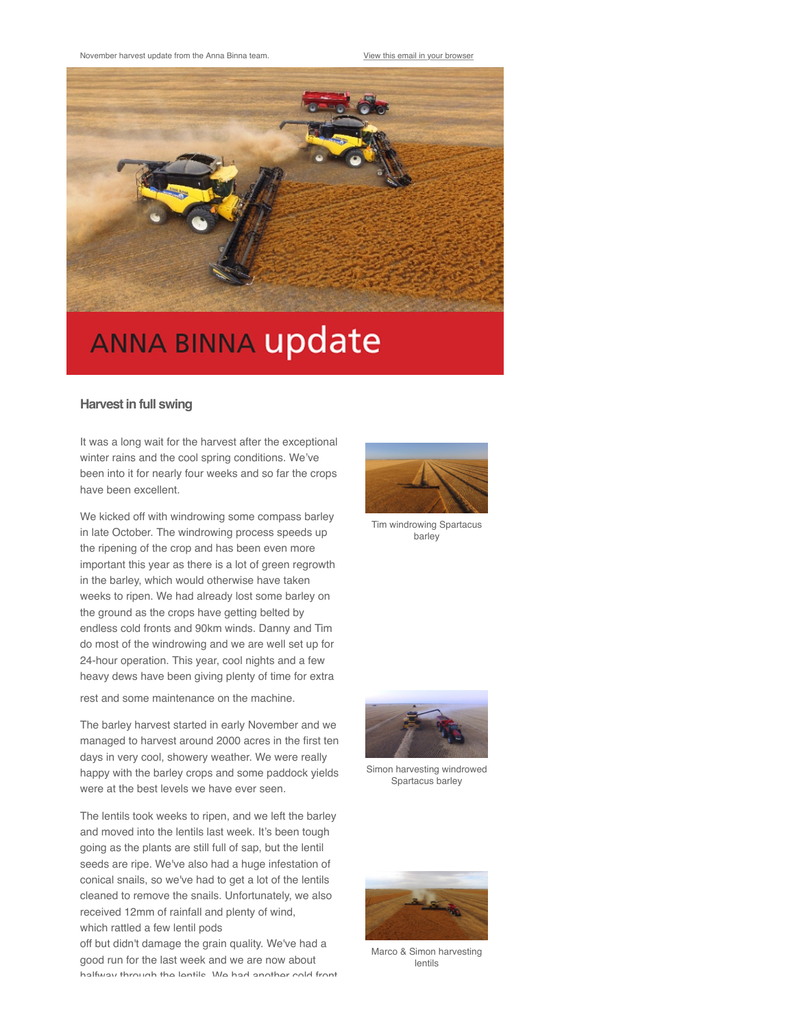

## **ANNA BINNA update**

## **Harvest in full swing**

It was a long wait for the harvest after the exceptional winter rains and the cool spring conditions. We've been into it for nearly four weeks and so far the crops have been excellent.

We kicked off with windrowing some compass barley in late October. The windrowing process speeds up the ripening of the crop and has been even more important this year as there is a lot of green regrowth in the barley, which would otherwise have taken weeks to ripen. We had already lost some barley on the ground as the crops have getting belted by endless cold fronts and 90km winds. Danny and Tim do most of the windrowing and we are well set up for 24-hour operation. This year, cool nights and a few heavy dews have been giving plenty of time for extra rest and some maintenance on the machine.

The barley harvest started in early November and we managed to harvest around 2000 acres in the first ten days in very cool, showery weather. We were really happy with the barley crops and some paddock yields were at the best levels we have ever seen.

The lentils took weeks to ripen, and we left the barley and moved into the lentils last week. It's been tough going as the plants are still full of sap, but the lentil seeds are ripe. We've also had a huge infestation of conical snails, so we've had to get a lot of the lentils cleaned to remove the snails. Unfortunately, we also received 12mm of rainfall and plenty of wind, which rattled a few lentil pods

off but didn't damage the grain quality. We've had a good run for the last week and we are now about halfway through the lentils. We had another cold front



Tim windrowing Spartacus barley



Simon harvesting windrowed Spartacus barley



Marco & Simon harvesting lentils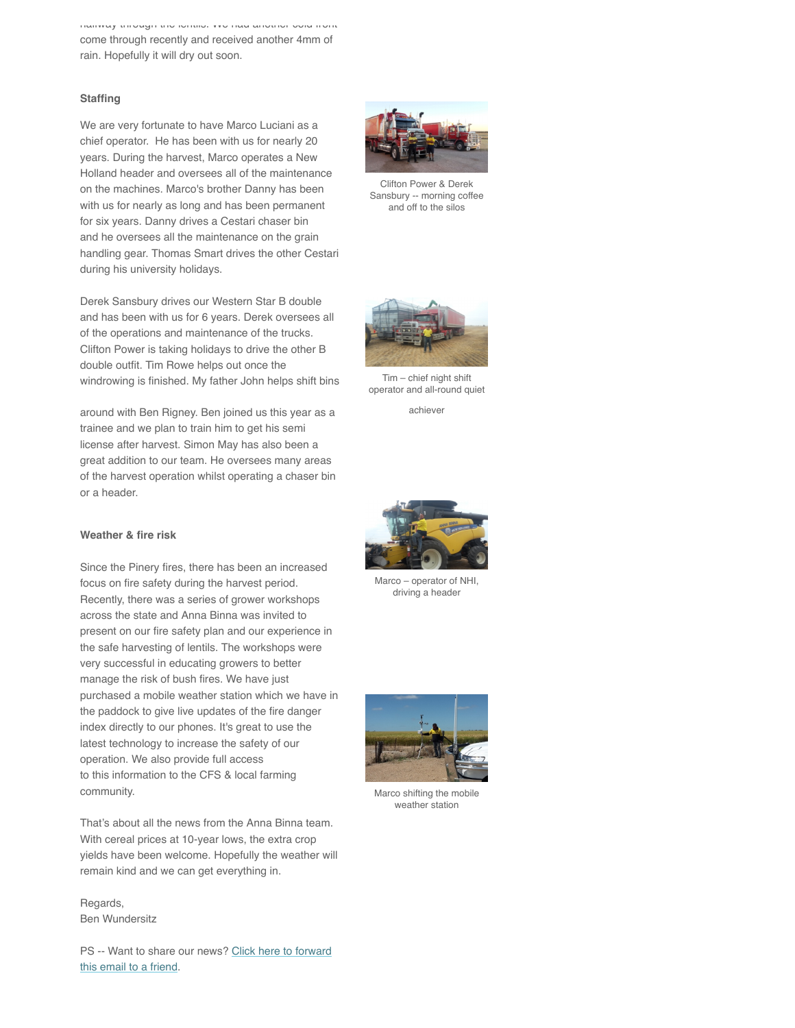halfway through the lentils. We had another cold front come through recently and received another 4mm of rain. Hopefully it will dry out soon.

## **Staffing**

We are very fortunate to have Marco Luciani as a chief operator. He has been with us for nearly 20 years. During the harvest, Marco operates a New Holland header and oversees all of the maintenance on the machines. Marco's brother Danny has been with us for nearly as long and has been permanent for six years. Danny drives a Cestari chaser bin and he oversees all the maintenance on the grain handling gear. Thomas Smart drives the other Cestari during his university holidays.

Derek Sansbury drives our Western Star B double and has been with us for 6 years. Derek oversees all of the operations and maintenance of the trucks. Clifton Power is taking holidays to drive the other B double outfit. Tim Rowe helps out once the windrowing is finished. My father John helps shift bins

around with Ben Rigney. Ben joined us this year as a trainee and we plan to train him to get his semi license after harvest. Simon May has also been a great addition to our team. He oversees many areas of the harvest operation whilst operating a chaser bin or a header.

## **Weather & fire risk**

Since the Pinery fires, there has been an increased focus on fire safety during the harvest period. Recently, there was a series of grower workshops across the state and Anna Binna was invited to present on our fire safety plan and our experience in the safe harvesting of lentils. The workshops were very successful in educating growers to better manage the risk of bush fires. We have just purchased a mobile weather station which we have in the paddock to give live updates of the fire danger index directly to our phones. It's great to use the latest technology to increase the safety of our operation. We also provide full access to this information to the CFS & local farming community.

That's about all the news from the Anna Binna team. With cereal prices at 10-year lows, the extra crop yields have been welcome. Hopefully the weather will remain kind and we can get everything in.

Regards, Ben Wundersitz

[PS -- Want to share our news? Click here to forward](http://us3.forward-to-friend1.com/forward?u=78327dec49652f9ea08c73d9d&id=2816707b3c&e=%5BUNIQID%5D) this email to a friend.



Clifton Power & Derek Sansbury -- morning coffee and off to the silos



Tim – chief night shift operator and all-round quiet

achiever

![](_page_1_Picture_15.jpeg)

Marco – operator of NHI, driving a header

![](_page_1_Picture_17.jpeg)

Marco shifting the mobile weather station